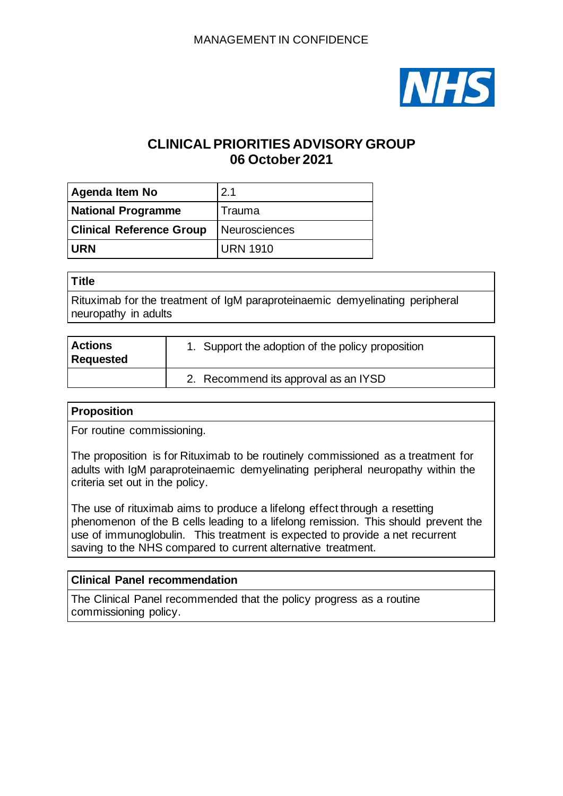

# **CLINICAL PRIORITIES ADVISORY GROUP 06 October 2021**

| <b>Agenda Item No</b>           | 2.1             |
|---------------------------------|-----------------|
| <b>National Programme</b>       | Trauma          |
| <b>Clinical Reference Group</b> | Neurosciences   |
| <b>URN</b>                      | <b>URN 1910</b> |

| <b>Title</b>                                                                 |
|------------------------------------------------------------------------------|
| Rituximab for the treatment of IgM paraproteinaemic demyelinating peripheral |
| neuropathy in adults                                                         |

| <b>Actions</b><br><b>Requested</b> | 1. Support the adoption of the policy proposition |
|------------------------------------|---------------------------------------------------|
|                                    | 2. Recommend its approval as an IYSD              |

### **Proposition**

For routine commissioning.

The proposition is for Rituximab to be routinely commissioned as a treatment for adults with IgM paraproteinaemic demyelinating peripheral neuropathy within the criteria set out in the policy.

The use of rituximab aims to produce a lifelong effect through a resetting phenomenon of the B cells leading to a lifelong remission. This should prevent the use of immunoglobulin. This treatment is expected to provide a net recurrent saving to the NHS compared to current alternative treatment.

## **Clinical Panel recommendation**

The Clinical Panel recommended that the policy progress as a routine commissioning policy.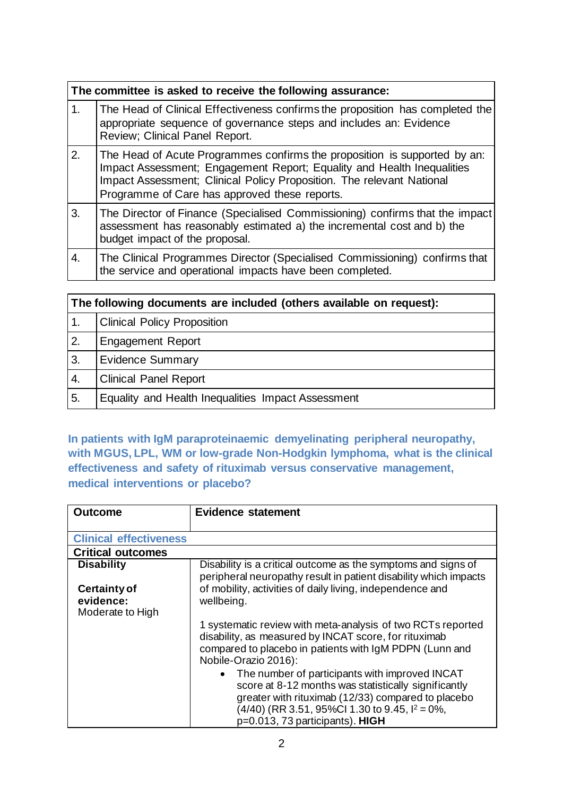|    | The committee is asked to receive the following assurance:                                                                                                                                                                                                                    |
|----|-------------------------------------------------------------------------------------------------------------------------------------------------------------------------------------------------------------------------------------------------------------------------------|
| 1. | The Head of Clinical Effectiveness confirms the proposition has completed the<br>appropriate sequence of governance steps and includes an: Evidence<br>Review; Clinical Panel Report.                                                                                         |
| 2. | The Head of Acute Programmes confirms the proposition is supported by an:<br>Impact Assessment; Engagement Report; Equality and Health Inequalities<br>Impact Assessment; Clinical Policy Proposition. The relevant National<br>Programme of Care has approved these reports. |
| 3. | The Director of Finance (Specialised Commissioning) confirms that the impact<br>assessment has reasonably estimated a) the incremental cost and b) the<br>budget impact of the proposal.                                                                                      |
| 4. | The Clinical Programmes Director (Specialised Commissioning) confirms that<br>the service and operational impacts have been completed.                                                                                                                                        |
|    |                                                                                                                                                                                                                                                                               |

|                  | The following documents are included (others available on request): |  |
|------------------|---------------------------------------------------------------------|--|
| $\overline{1}$ . | <b>Clinical Policy Proposition</b>                                  |  |
| 2.               | <b>Engagement Report</b>                                            |  |
| 3.               | <b>Evidence Summary</b>                                             |  |
| 4.               | <b>Clinical Panel Report</b>                                        |  |
| 5.               | Equality and Health Inequalities Impact Assessment                  |  |

**In patients with IgM paraproteinaemic demyelinating peripheral neuropathy, with MGUS, LPL, WM or low-grade Non-Hodgkin lymphoma, what is the clinical effectiveness and safety of rituximab versus conservative management, medical interventions or placebo?**

| <b>Outcome</b>                                       | <b>Evidence statement</b>                                                                                                                                                                                                                               |
|------------------------------------------------------|---------------------------------------------------------------------------------------------------------------------------------------------------------------------------------------------------------------------------------------------------------|
| <b>Clinical effectiveness</b>                        |                                                                                                                                                                                                                                                         |
|                                                      |                                                                                                                                                                                                                                                         |
| <b>Critical outcomes</b>                             |                                                                                                                                                                                                                                                         |
| <b>Disability</b>                                    | Disability is a critical outcome as the symptoms and signs of<br>peripheral neuropathy result in patient disability which impacts                                                                                                                       |
| <b>Certainty of</b><br>evidence:<br>Moderate to High | of mobility, activities of daily living, independence and<br>wellbeing.                                                                                                                                                                                 |
|                                                      | 1 systematic review with meta-analysis of two RCTs reported<br>disability, as measured by INCAT score, for rituximab<br>compared to placebo in patients with IgM PDPN (Lunn and<br>Nobile-Orazio 2016):                                                 |
|                                                      | The number of participants with improved INCAT<br>score at 8-12 months was statistically significantly<br>greater with rituximab (12/33) compared to placebo<br>$(4/40)$ (RR 3.51, 95%Cl 1.30 to 9.45, $I^2 = 0\%$ ,<br>p=0.013, 73 participants). HIGH |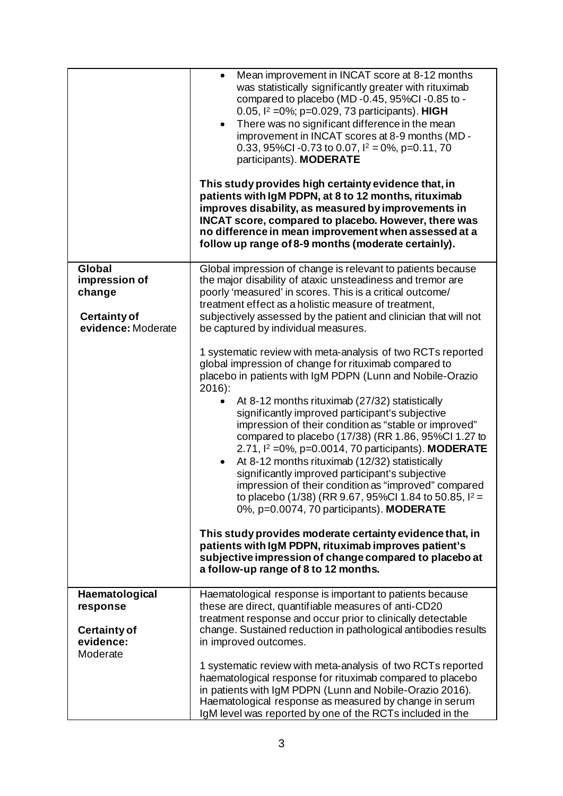|                                                          | Mean improvement in INCAT score at 8-12 months<br>$\bullet$<br>was statistically significantly greater with rituximab<br>compared to placebo (MD-0.45, 95%Cl-0.85 to -<br>0.05, <sup>12</sup> = 0%; p=0.029, 73 participants). HIGH<br>There was no significant difference in the mean<br>$\bullet$<br>improvement in INCAT scores at 8-9 months (MD -<br>0.33, 95%Cl -0.73 to 0.07, $I^2 = 0$ %, p=0.11, 70<br>participants). MODERATE<br>This study provides high certainty evidence that, in<br>patients with IgM PDPN, at 8 to 12 months, rituximab<br>improves disability, as measured by improvements in<br>INCAT score, compared to placebo. However, there was<br>no difference in mean improvement when assessed at a<br>follow up range of 8-9 months (moderate certainly).                                                                                                                                                                                                                                         |
|----------------------------------------------------------|-------------------------------------------------------------------------------------------------------------------------------------------------------------------------------------------------------------------------------------------------------------------------------------------------------------------------------------------------------------------------------------------------------------------------------------------------------------------------------------------------------------------------------------------------------------------------------------------------------------------------------------------------------------------------------------------------------------------------------------------------------------------------------------------------------------------------------------------------------------------------------------------------------------------------------------------------------------------------------------------------------------------------------|
| Global<br>impression of<br>change<br><b>Certainty of</b> | Global impression of change is relevant to patients because<br>the major disability of ataxic unsteadiness and tremor are<br>poorly 'measured' in scores. This is a critical outcome/<br>treatment effect as a holistic measure of treatment,<br>subjectively assessed by the patient and clinician that will not                                                                                                                                                                                                                                                                                                                                                                                                                                                                                                                                                                                                                                                                                                             |
| evidence: Moderate                                       | be captured by individual measures.<br>1 systematic review with meta-analysis of two RCTs reported<br>global impression of change for rituximab compared to<br>placebo in patients with IgM PDPN (Lunn and Nobile-Orazio<br>$2016$ :<br>At 8-12 months rituximab (27/32) statistically<br>significantly improved participant's subjective<br>impression of their condition as "stable or improved"<br>compared to placebo (17/38) (RR 1.86, 95%Cl 1.27 to<br>2.71, $I^2 = 0\%$ , p=0.0014, 70 participants). MODERATE<br>At 8-12 months rituximab (12/32) statistically<br>$\bullet$<br>significantly improved participant's subjective<br>impression of their condition as "improved" compared<br>to placebo (1/38) (RR 9.67, 95%Cl 1.84 to 50.85, $I^2 =$<br>0%, p=0.0074, 70 participants). MODERATE<br>This study provides moderate certainty evidence that, in<br>patients with IgM PDPN, rituximab improves patient's<br>subjective impression of change compared to placebo at<br>a follow-up range of 8 to 12 months. |
| Haematological<br>response<br><b>Certainty of</b>        | Haematological response is important to patients because<br>these are direct, quantifiable measures of anti-CD20<br>treatment response and occur prior to clinically detectable<br>change. Sustained reduction in pathological antibodies results                                                                                                                                                                                                                                                                                                                                                                                                                                                                                                                                                                                                                                                                                                                                                                             |
| evidence:<br>Moderate                                    | in improved outcomes.<br>1 systematic review with meta-analysis of two RCTs reported<br>haematological response for rituximab compared to placebo<br>in patients with IgM PDPN (Lunn and Nobile-Orazio 2016).<br>Haematological response as measured by change in serum<br>IgM level was reported by one of the RCTs included in the                                                                                                                                                                                                                                                                                                                                                                                                                                                                                                                                                                                                                                                                                          |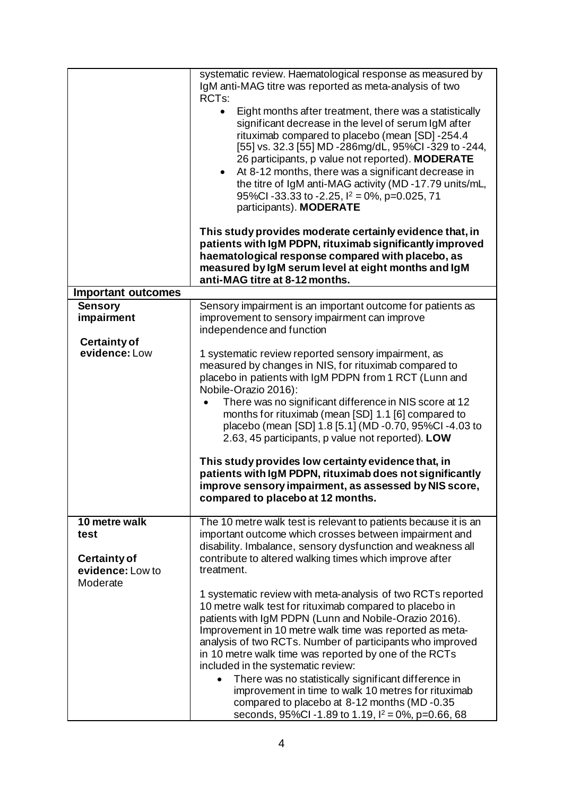|                                                                              | systematic review. Haematological response as measured by<br>IgM anti-MAG titre was reported as meta-analysis of two<br>RCT <sub>s</sub> :<br>Eight months after treatment, there was a statistically<br>$\bullet$<br>significant decrease in the level of serum IgM after<br>rituximab compared to placebo (mean [SD] -254.4<br>[55] vs. 32.3 [55] MD -286mg/dL, 95%Cl -329 to -244,<br>26 participants, p value not reported). MODERATE<br>At 8-12 months, there was a significant decrease in<br>$\bullet$<br>the titre of IgM anti-MAG activity (MD-17.79 units/mL,<br>95%Cl-33.33 to -2.25, $1^2$ = 0%, p=0.025, 71<br>participants). MODERATE<br>This study provides moderate certainly evidence that, in<br>patients with IgM PDPN, rituximab significantly improved<br>haematological response compared with placebo, as<br>measured by IgM serum level at eight months and IgM |
|------------------------------------------------------------------------------|-----------------------------------------------------------------------------------------------------------------------------------------------------------------------------------------------------------------------------------------------------------------------------------------------------------------------------------------------------------------------------------------------------------------------------------------------------------------------------------------------------------------------------------------------------------------------------------------------------------------------------------------------------------------------------------------------------------------------------------------------------------------------------------------------------------------------------------------------------------------------------------------|
|                                                                              | anti-MAG titre at 8-12 months.                                                                                                                                                                                                                                                                                                                                                                                                                                                                                                                                                                                                                                                                                                                                                                                                                                                          |
| <b>Important outcomes</b>                                                    |                                                                                                                                                                                                                                                                                                                                                                                                                                                                                                                                                                                                                                                                                                                                                                                                                                                                                         |
| <b>Sensory</b><br>impairment                                                 | Sensory impairment is an important outcome for patients as<br>improvement to sensory impairment can improve<br>independence and function                                                                                                                                                                                                                                                                                                                                                                                                                                                                                                                                                                                                                                                                                                                                                |
| <b>Certainty of</b><br>evidence: Low                                         | 1 systematic review reported sensory impairment, as<br>measured by changes in NIS, for rituximab compared to<br>placebo in patients with IgM PDPN from 1 RCT (Lunn and<br>Nobile-Orazio 2016):<br>There was no significant difference in NIS score at 12<br>months for rituximab (mean [SD] 1.1 [6] compared to<br>placebo (mean [SD] 1.8 [5.1] (MD -0.70, 95%Cl -4.03 to<br>2.63, 45 participants, p value not reported). LOW<br>This study provides low certainty evidence that, in<br>patients with IgM PDPN, rituximab does not significantly<br>improve sensory impairment, as assessed by NIS score,<br>compared to placebo at 12 months.                                                                                                                                                                                                                                         |
| 10 metre walk<br>test<br><b>Certainty of</b><br>evidence: Low to<br>Moderate | The 10 metre walk test is relevant to patients because it is an<br>important outcome which crosses between impairment and<br>disability. Imbalance, sensory dysfunction and weakness all<br>contribute to altered walking times which improve after<br>treatment.                                                                                                                                                                                                                                                                                                                                                                                                                                                                                                                                                                                                                       |
|                                                                              | 1 systematic review with meta-analysis of two RCTs reported<br>10 metre walk test for rituximab compared to placebo in<br>patients with IgM PDPN (Lunn and Nobile-Orazio 2016).<br>Improvement in 10 metre walk time was reported as meta-<br>analysis of two RCTs. Number of participants who improved<br>in 10 metre walk time was reported by one of the RCTs<br>included in the systematic review:<br>There was no statistically significant difference in<br>improvement in time to walk 10 metres for rituximab<br>compared to placebo at 8-12 months (MD-0.35<br>seconds, 95%Cl -1.89 to 1.19, $I^2 = 0\%$ , p=0.66, 68                                                                                                                                                                                                                                                          |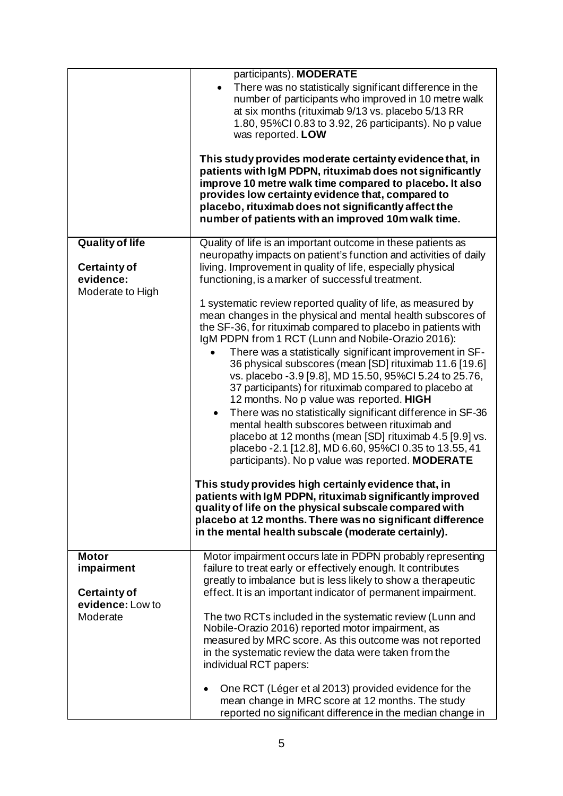|                                                                                | participants). MODERATE<br>There was no statistically significant difference in the<br>number of participants who improved in 10 metre walk<br>at six months (rituximab 9/13 vs. placebo 5/13 RR<br>1.80, 95%CI 0.83 to 3.92, 26 participants). No p value<br>was reported. LOW<br>This study provides moderate certainty evidence that, in<br>patients with IgM PDPN, rituximab does not significantly<br>improve 10 metre walk time compared to placebo. It also<br>provides low certainty evidence that, compared to<br>placebo, rituximab does not significantly affect the<br>number of patients with an improved 10m walk time.                                                                                                                                                                                                                                                                                                                                                                                                                                                                                                                                                                                                                                                                                                                                                                   |
|--------------------------------------------------------------------------------|---------------------------------------------------------------------------------------------------------------------------------------------------------------------------------------------------------------------------------------------------------------------------------------------------------------------------------------------------------------------------------------------------------------------------------------------------------------------------------------------------------------------------------------------------------------------------------------------------------------------------------------------------------------------------------------------------------------------------------------------------------------------------------------------------------------------------------------------------------------------------------------------------------------------------------------------------------------------------------------------------------------------------------------------------------------------------------------------------------------------------------------------------------------------------------------------------------------------------------------------------------------------------------------------------------------------------------------------------------------------------------------------------------|
| <b>Quality of life</b><br><b>Certainty of</b><br>evidence:<br>Moderate to High | Quality of life is an important outcome in these patients as<br>neuropathy impacts on patient's function and activities of daily<br>living. Improvement in quality of life, especially physical<br>functioning, is a marker of successful treatment.<br>1 systematic review reported quality of life, as measured by<br>mean changes in the physical and mental health subscores of<br>the SF-36, for rituximab compared to placebo in patients with<br>IgM PDPN from 1 RCT (Lunn and Nobile-Orazio 2016):<br>There was a statistically significant improvement in SF-<br>36 physical subscores (mean [SD] rituximab 11.6 [19.6]<br>vs. placebo - 3.9 [9.8], MD 15.50, 95%Cl 5.24 to 25.76,<br>37 participants) for rituximab compared to placebo at<br>12 months. No p value was reported. HIGH<br>There was no statistically significant difference in SF-36<br>$\bullet$<br>mental health subscores between rituximab and<br>placebo at 12 months (mean [SD] rituximab 4.5 [9.9] vs.<br>placebo - 2.1 [12.8], MD 6.60, 95%Cl 0.35 to 13.55, 41<br>participants). No p value was reported. MODERATE<br>This study provides high certainly evidence that, in<br>patients with IgM PDPN, rituximab significantly improved<br>quality of life on the physical subscale compared with<br>placebo at 12 months. There was no significant difference<br>in the mental health subscale (moderate certainly). |
| <b>Motor</b><br>impairment                                                     | Motor impairment occurs late in PDPN probably representing<br>failure to treat early or effectively enough. It contributes                                                                                                                                                                                                                                                                                                                                                                                                                                                                                                                                                                                                                                                                                                                                                                                                                                                                                                                                                                                                                                                                                                                                                                                                                                                                              |
| <b>Certainty of</b><br>evidence: Low to                                        | greatly to imbalance but is less likely to show a therapeutic<br>effect. It is an important indicator of permanent impairment.                                                                                                                                                                                                                                                                                                                                                                                                                                                                                                                                                                                                                                                                                                                                                                                                                                                                                                                                                                                                                                                                                                                                                                                                                                                                          |
| Moderate                                                                       | The two RCTs included in the systematic review (Lunn and<br>Nobile-Orazio 2016) reported motor impairment, as<br>measured by MRC score. As this outcome was not reported<br>in the systematic review the data were taken from the<br>individual RCT papers:<br>One RCT (Léger et al 2013) provided evidence for the<br>mean change in MRC score at 12 months. The study<br>reported no significant difference in the median change in                                                                                                                                                                                                                                                                                                                                                                                                                                                                                                                                                                                                                                                                                                                                                                                                                                                                                                                                                                   |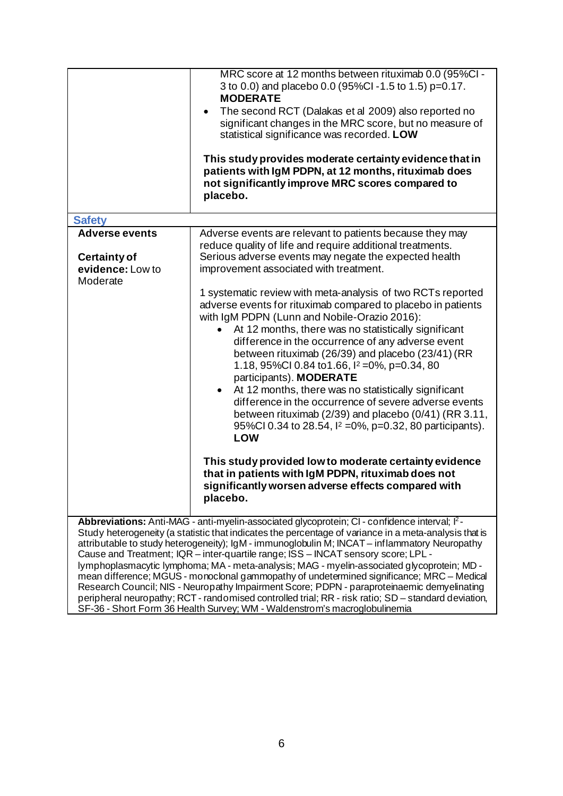|                                                                  | MRC score at 12 months between rituximab 0.0 (95%CI -<br>3 to 0.0) and placebo 0.0 (95%Cl-1.5 to 1.5) p=0.17.<br><b>MODERATE</b><br>The second RCT (Dalakas et al 2009) also reported no<br>significant changes in the MRC score, but no measure of<br>statistical significance was recorded. LOW<br>This study provides moderate certainty evidence that in<br>patients with IgM PDPN, at 12 months, rituximab does<br>not significantly improve MRC scores compared to<br>placebo.                                                                                                                                                                                                                                                                                             |
|------------------------------------------------------------------|----------------------------------------------------------------------------------------------------------------------------------------------------------------------------------------------------------------------------------------------------------------------------------------------------------------------------------------------------------------------------------------------------------------------------------------------------------------------------------------------------------------------------------------------------------------------------------------------------------------------------------------------------------------------------------------------------------------------------------------------------------------------------------|
| <b>Safety</b>                                                    |                                                                                                                                                                                                                                                                                                                                                                                                                                                                                                                                                                                                                                                                                                                                                                                  |
| <b>Adverse events</b><br><b>Certainty of</b><br>evidence: Low to | Adverse events are relevant to patients because they may<br>reduce quality of life and require additional treatments.<br>Serious adverse events may negate the expected health<br>improvement associated with treatment.                                                                                                                                                                                                                                                                                                                                                                                                                                                                                                                                                         |
| Moderate                                                         |                                                                                                                                                                                                                                                                                                                                                                                                                                                                                                                                                                                                                                                                                                                                                                                  |
|                                                                  | 1 systematic review with meta-analysis of two RCTs reported<br>adverse events for rituximab compared to placebo in patients<br>with IgM PDPN (Lunn and Nobile-Orazio 2016):<br>At 12 months, there was no statistically significant<br>$\bullet$<br>difference in the occurrence of any adverse event<br>between rituximab (26/39) and placebo (23/41) (RR<br>1.18, 95%Cl 0.84 to 1.66, $\frac{12}{12}$ = 0%, p=0.34, 80<br>participants). MODERATE<br>At 12 months, there was no statistically significant<br>$\bullet$<br>difference in the occurrence of severe adverse events<br>between rituximab ( $2/39$ ) and placebo ( $0/41$ ) (RR 3.11,<br>95%Cl 0.34 to 28.54, $1^2$ =0%, p=0.32, 80 participants).<br>LOW<br>This study provided low to moderate certainty evidence |
|                                                                  |                                                                                                                                                                                                                                                                                                                                                                                                                                                                                                                                                                                                                                                                                                                                                                                  |
|                                                                  | that in patients with IgM PDPN, rituximab does not                                                                                                                                                                                                                                                                                                                                                                                                                                                                                                                                                                                                                                                                                                                               |
|                                                                  | significantly worsen adverse effects compared with                                                                                                                                                                                                                                                                                                                                                                                                                                                                                                                                                                                                                                                                                                                               |
|                                                                  | placebo.                                                                                                                                                                                                                                                                                                                                                                                                                                                                                                                                                                                                                                                                                                                                                                         |
|                                                                  | <b>Abbreviations:</b> Anti-MAG - anti-myelin-associated glycoprotein; CI - confidence interval; $I^2$ -                                                                                                                                                                                                                                                                                                                                                                                                                                                                                                                                                                                                                                                                          |
|                                                                  | Study heterogeneity (a statistic that indicates the percentage of variance in a meta-analysis that is<br>attributable to study heterogeneity); IgM - immunoglobulin M; INCAT – inflammatory Neuropathy<br>Cause and Treatment; IQR - inter-quartile range; ISS - INCAT sensory score; LPL -<br>lymphoplasmacytic lymphoma; MA - meta-analysis; MAG - myelin-associated glycoprotein; MD -<br>mean difference; MGUS - monoclonal gammopathy of undetermined significance; MRC - Medical<br>Research Council; NIS - Neuropathy Impairment Score; PDPN - paraproteinaemic demyelinating<br>peripheral neuropathy; RCT - randomised controlled trial; RR - risk ratio; SD - standard deviation,<br>SF-36 - Short Form 36 Health Survey; WM - Waldenstrom's macroglobulinemia         |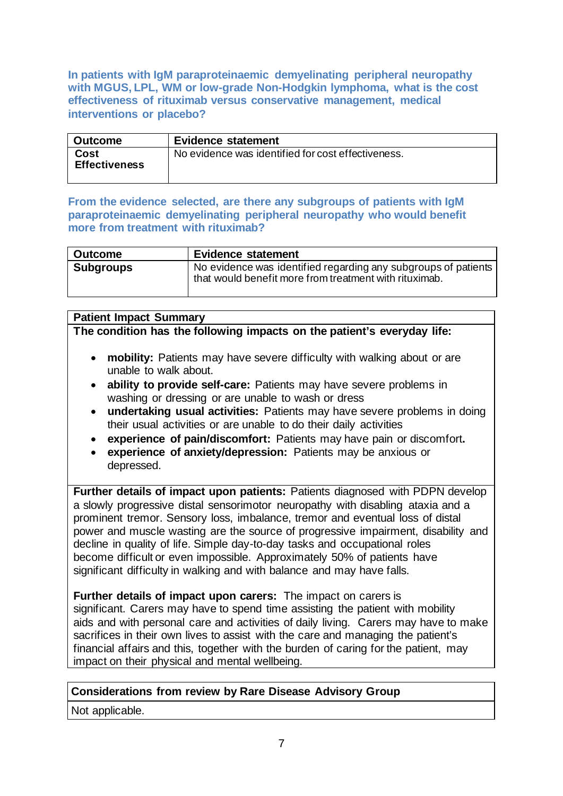**In patients with IgM paraproteinaemic demyelinating peripheral neuropathy with MGUS, LPL, WM or low-grade Non-Hodgkin lymphoma, what is the cost effectiveness of rituximab versus conservative management, medical interventions or placebo?**

| l Outcome                    | <b>Evidence statement</b>                          |
|------------------------------|----------------------------------------------------|
| Cost<br><b>Effectiveness</b> | No evidence was identified for cost effectiveness. |

**From the evidence selected, are there any subgroups of patients with IgM paraproteinaemic demyelinating peripheral neuropathy who would benefit more from treatment with rituximab?**

| <b>Outcome</b>   | <b>Evidence statement</b>                                                                                                |
|------------------|--------------------------------------------------------------------------------------------------------------------------|
| <b>Subgroups</b> | No evidence was identified regarding any subgroups of patients<br>that would benefit more from treatment with rituximab. |

# **Patient Impact Summary**

**The condition has the following impacts on the patient's everyday life:** 

- **mobility:** Patients may have severe difficulty with walking about or are unable to walk about.
- **ability to provide self-care:** Patients may have severe problems in washing or dressing or are unable to wash or dress
- **undertaking usual activities:** Patients may have severe problems in doing their usual activities or are unable to do their daily activities
- **experience of pain/discomfort:** Patients may have pain or discomfort**.**
- **experience of anxiety/depression:** Patients may be anxious or depressed.

**Further details of impact upon patients:** Patients diagnosed with PDPN develop a slowly progressive distal sensorimotor neuropathy with disabling ataxia and a prominent tremor. Sensory loss, imbalance, tremor and eventual loss of distal power and muscle wasting are the source of progressive impairment, disability and decline in quality of life. Simple day-to-day tasks and occupational roles become difficult or even impossible. Approximately 50% of patients have significant difficulty in walking and with balance and may have falls.

**Further details of impact upon carers:** The impact on carers is significant. Carers may have to spend time assisting the patient with mobility aids and with personal care and activities of daily living. Carers may have to make sacrifices in their own lives to assist with the care and managing the patient's financial affairs and this, together with the burden of caring for the patient, may impact on their physical and mental wellbeing.

## **Considerations from review by Rare Disease Advisory Group**

Not applicable.